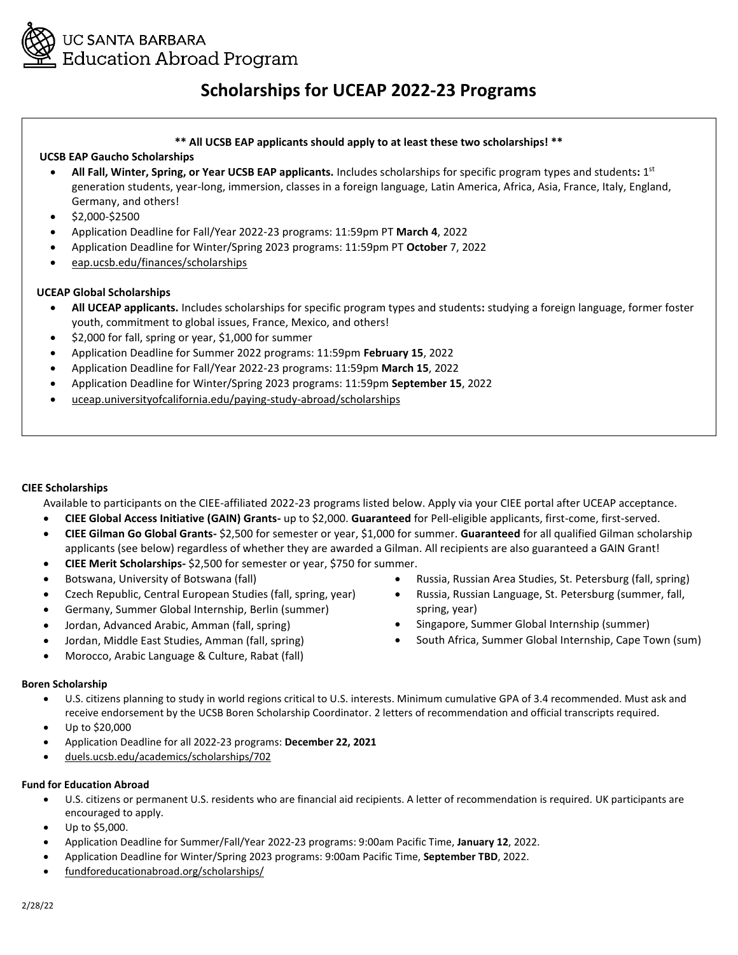

# **Scholarships for UCEAP 2022-23 Programs**

### **\*\* All UCSB EAP applicants should apply to at least these two scholarships! \*\***

### **UCSB EAP Gaucho Scholarships**

- **All Fall, Winter, Spring, or Year UCSB EAP applicants.** Includes scholarships for specific program types and students**:** 1 st generation students, year-long, immersion, classes in a foreign language, Latin America, Africa, Asia, France, Italy, England, Germany, and others!
- \$2,000-\$2500
- Application Deadline for Fall/Year 2022-23 programs: 11:59pm PT **March 4**, 2022
- Application Deadline for Winter/Spring 2023 programs: 11:59pm PT **October** 7, 2022
- eap.ucsb.edu/finances/scholarships

### **UCEAP Global Scholarships**

- **All UCEAP applicants.** Includes scholarships for specific program types and students**:** studying a foreign language, former foster youth, commitment to global issues, France, Mexico, and others!
- \$2,000 for fall, spring or year, \$1,000 for summer
- Application Deadline for Summer 2022 programs: 11:59pm **February 15**, 2022
- Application Deadline for Fall/Year 2022-23 programs: 11:59pm **March 15**, 2022
- Application Deadline for Winter/Spring 2023 programs: 11:59pm **September 15**, 2022
- uceap.universityofcalifornia.edu/paying-study-abroad/scholarships

### **CIEE Scholarships**

Available to participants on the CIEE-affiliated 2022-23 programs listed below. Apply via your CIEE portal after UCEAP acceptance.

- **CIEE Global Access Initiative (GAIN) Grants-** up to \$2,000. **Guaranteed** for Pell-eligible applicants, first-come, first-served.
- **CIEE Gilman Go Global Grants-** \$2,500 for semester or year, \$1,000 for summer. **Guaranteed** for all qualified Gilman scholarship applicants (see below) regardless of whether they are awarded a Gilman. All recipients are also guaranteed a GAIN Grant!
- **CIEE Merit Scholarships-** \$2,500 for semester or year, \$750 for summer.
- Botswana, University of Botswana (fall)
- Czech Republic, Central European Studies (fall, spring, year)
- Germany, Summer Global Internship, Berlin (summer)
- Jordan, Advanced Arabic, Amman (fall, spring)
- Jordan, Middle East Studies, Amman (fall, spring)
- Morocco, Arabic Language & Culture, Rabat (fall)

### **Boren Scholarship**

- U.S. citizens planning to study in world regions critical to U.S. interests. Minimum cumulative GPA of 3.4 recommended. Must ask and receive endorsement by the UCSB Boren Scholarship Coordinator. 2 letters of recommendation and official transcripts required.
- Up to \$20,000
- Application Deadline for all 2022-23 programs: **December 22, 2021**
- duels.ucsb.edu/academics/scholarships/702

### **Fund for Education Abroad**

- U.S. citizens or permanent U.S. residents who are financial aid recipients. A letter of recommendation is required. UK participants are encouraged to apply.
- Up to \$5,000.
- Application Deadline for Summer/Fall/Year 2022-23 programs: 9:00am Pacific Time, **January 12**, 2022.
- Application Deadline for Winter/Spring 2023 programs: 9:00am Pacific Time, **September TBD**, 2022.
- fundforeducationabroad.org/scholarships/
- Russia, Russian Area Studies, St. Petersburg (fall, spring)
- Russia, Russian Language, St. Petersburg (summer, fall, spring, year)
- Singapore, Summer Global Internship (summer)
- South Africa, Summer Global Internship, Cape Town (sum)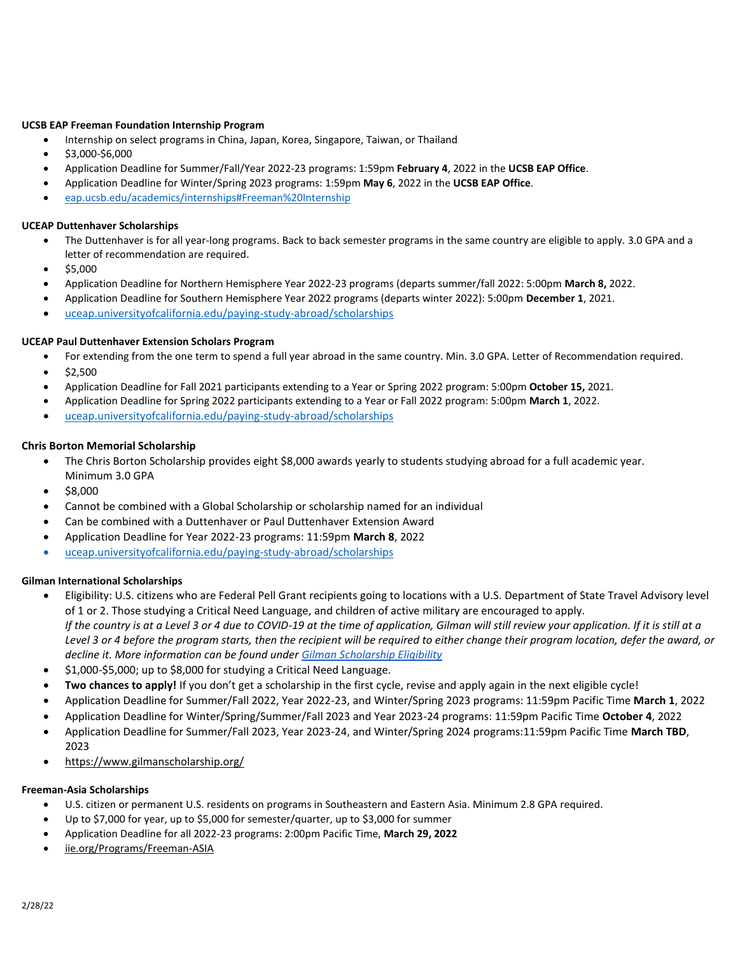### **UCSB EAP Freeman Foundation Internship Program**

- Internship on select programs in China, Japan, Korea, Singapore, Taiwan, or Thailand
- $\bullet$  \$3,000-\$6,000
- Application Deadline for Summer/Fall/Year 2022-23 programs: 1:59pm **February 4**, 2022 in the **UCSB EAP Office**.
- Application Deadline for Winter/Spring 2023 programs: 1:59pm **May 6**, 2022 in the **UCSB EAP Office**.
- [eap.ucsb.edu/academics/internships#Freeman%20Internship](https://eap.ucsb.edu/academics/internships#Freeman%20Internship)

#### **UCEAP Duttenhaver Scholarships**

- The Duttenhaver is for all year-long programs. Back to back semester programs in the same country are eligible to apply. 3.0 GPA and a letter of recommendation are required.
- $\bullet$  \$5,000
- Application Deadline for Northern Hemisphere Year 2022-23 programs (departs summer/fall 2022: 5:00pm **March 8,** 2022.
- Application Deadline for Southern Hemisphere Year 2022 programs (departs winter 2022): 5:00pm **December 1**, 2021.
- [uceap.universityofcalifornia.edu/paying-study-abroad/scholarships](file:///C:/Users/phutajulu/Downloads/uceap.universityofcalifornia.edu/paying-study-abroad/scholarships)

### **UCEAP Paul Duttenhaver Extension Scholars Program**

- For extending from the one term to spend a full year abroad in the same country. Min. 3.0 GPA. Letter of Recommendation required.
- $\bullet$  \$2,500
- Application Deadline for Fall 2021 participants extending to a Year or Spring 2022 program: 5:00pm **October 15,** 2021.
- Application Deadline for Spring 2022 participants extending to a Year or Fall 2022 program: 5:00pm **March 1**, 2022.
- [uceap.universityofcalifornia.edu/paying-study-abroad/scholarships](file:///C:/Users/phutajulu/Downloads/•%09uceap.universityofcalifornia.edu/paying-study-abroad/scholarships)

#### **Chris Borton Memorial Scholarship**

- The Chris Borton Scholarship provides eight \$8,000 awards yearly to students studying abroad for a full academic year. Minimum 3.0 GPA
- $•$  \$8,000
- Cannot be combined with a Global Scholarship or scholarship named for an individual
- Can be combined with a Duttenhaver or Paul Duttenhaver Extension Award
- Application Deadline for Year 2022-23 programs: 11:59pm **March 8**, 2022
- [uceap.universityofcalifornia.edu/paying-study-abroad/scholarships](file:///C:/Users/phutajulu/Downloads/•%09uceap.universityofcalifornia.edu/paying-study-abroad/scholarships)

### **Gilman International Scholarships**

- Eligibility: U.S. citizens who are Federal Pell Grant recipients going to locations with a U.S. Department of State Travel Advisory level of 1 or 2. Those studying a Critical Need Language, and children of active military are encouraged to apply. *If the country is at a Level 3 or 4 due to COVID-19 at the time of application, Gilman will still review your application. If it is still at a Level 3 or 4 before the program starts, then the recipient will be required to either change their program location, defer the award, or decline it. More information can be found under [Gilman Scholarship Eligibility](https://www.gilmanscholarship.org/applicants/eligibility/)*
- $\bullet$  \$1,000-\$5,000; up to \$8,000 for studying a Critical Need Language.
- **Two chances to apply!** If you don't get a scholarship in the first cycle, revise and apply again in the next eligible cycle!
- Application Deadline for Summer/Fall 2022, Year 2022-23, and Winter/Spring 2023 programs: 11:59pm Pacific Time **March 1**, 2022
- Application Deadline for Winter/Spring/Summer/Fall 2023 and Year 2023-24 programs: 11:59pm Pacific Time **October 4**, 2022
- Application Deadline for Summer/Fall 2023, Year 2023-24, and Winter/Spring 2024 programs:11:59pm Pacific Time **March TBD**, 2023
- https://www.gilmanscholarship.org/

### **Freeman-Asia Scholarships**

- U.S. citizen or permanent U.S. residents on programs in Southeastern and Eastern Asia. Minimum 2.8 GPA required.
- Up to \$7,000 for year, up to \$5,000 for semester/quarter, up to \$3,000 for summer
- Application Deadline for all 2022-23 programs: 2:00pm Pacific Time, **March 29, 2022**
- iie.org/Programs/Freeman-ASIA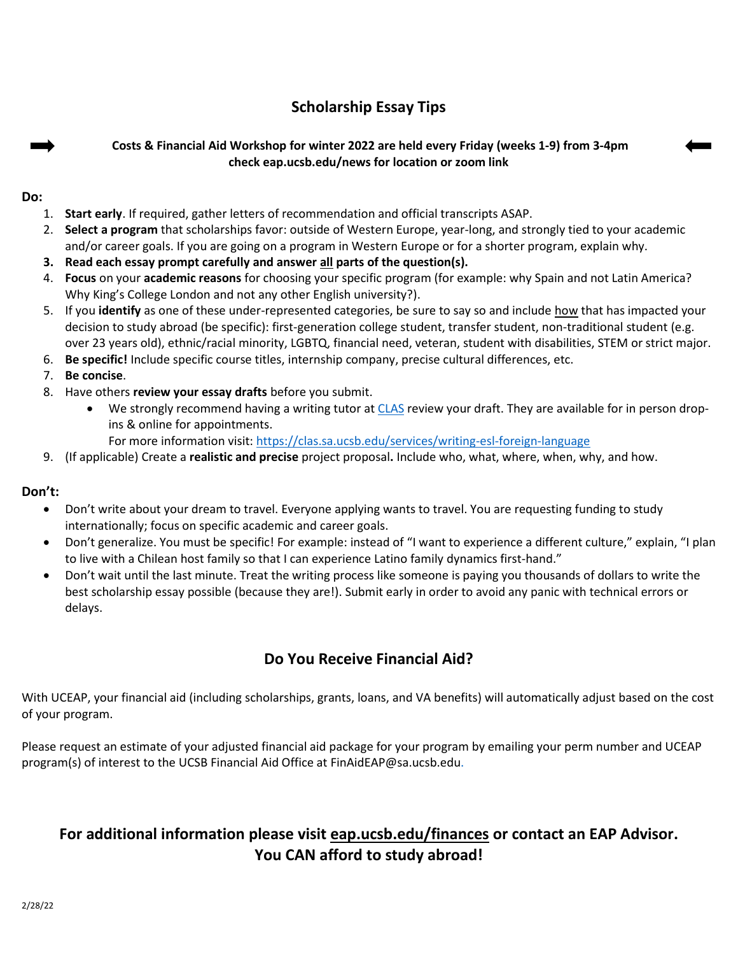# **Scholarship Essay Tips**

## **Costs & Financial Aid Workshop for winter 2022 are held every Friday (weeks 1-9) from 3-4pm check eap.ucsb.edu/news for location or zoom link**

### **Do:**

- 1. **Start early**. If required, gather letters of recommendation and official transcripts ASAP.
- 2. **Select a program** that scholarships favor: outside of Western Europe, year-long, and strongly tied to your academic and/or career goals. If you are going on a program in Western Europe or for a shorter program, explain why.
- **3. Read each essay prompt carefully and answer all parts of the question(s).**
- 4. **Focus** on your **academic reasons** for choosing your specific program (for example: why Spain and not Latin America? Why King's College London and not any other English university?).
- 5. If you **identify** as one of these under-represented categories, be sure to say so and include how that has impacted your decision to study abroad (be specific): first-generation college student, transfer student, non-traditional student (e.g. over 23 years old), ethnic/racial minority, LGBTQ, financial need, veteran, student with disabilities, STEM or strict major.
- 6. **Be specific!** Include specific course titles, internship company, precise cultural differences, etc.
- 7. **Be concise**.
- 8. Have others **review your essay drafts** before you submit.
	- We strongly recommend having a writing tutor a[t CLAS](http://clas.sa.ucsb.edu/services/writing-esl-foreign-language) review your draft. They are available for in person dropins & online for appointments.
		- For more information visit[: https://clas.sa.ucsb.edu/services/writing-esl-foreign-language](https://clas.sa.ucsb.edu/services/writing-esl-foreign-language)
- 9. (If applicable) Create a **realistic and precise** project proposal**.** Include who, what, where, when, why, and how.

### **Don't:**

- Don't write about your dream to travel. Everyone applying wants to travel. You are requesting funding to study internationally; focus on specific academic and career goals.
- Don't generalize. You must be specific! For example: instead of "I want to experience a different culture," explain, "I plan to live with a Chilean host family so that I can experience Latino family dynamics first-hand."
- Don't wait until the last minute. Treat the writing process like someone is paying you thousands of dollars to write the best scholarship essay possible (because they are!). Submit early in order to avoid any panic with technical errors or delays.

# **Do You Receive Financial Aid?**

With UCEAP, your financial aid (including scholarships, grants, loans, and VA benefits) will automatically adjust based on the cost of your program.

Please request an estimate of your adjusted financial aid package for your program by emailing your perm number and UCEAP program(s) of interest to the UCSB Financial Aid Office at FinAidEAP@sa.ucsb.edu.

# **For additional information please visit eap.ucsb.edu/finances or contact an EAP Advisor. You CAN afford to study abroad!**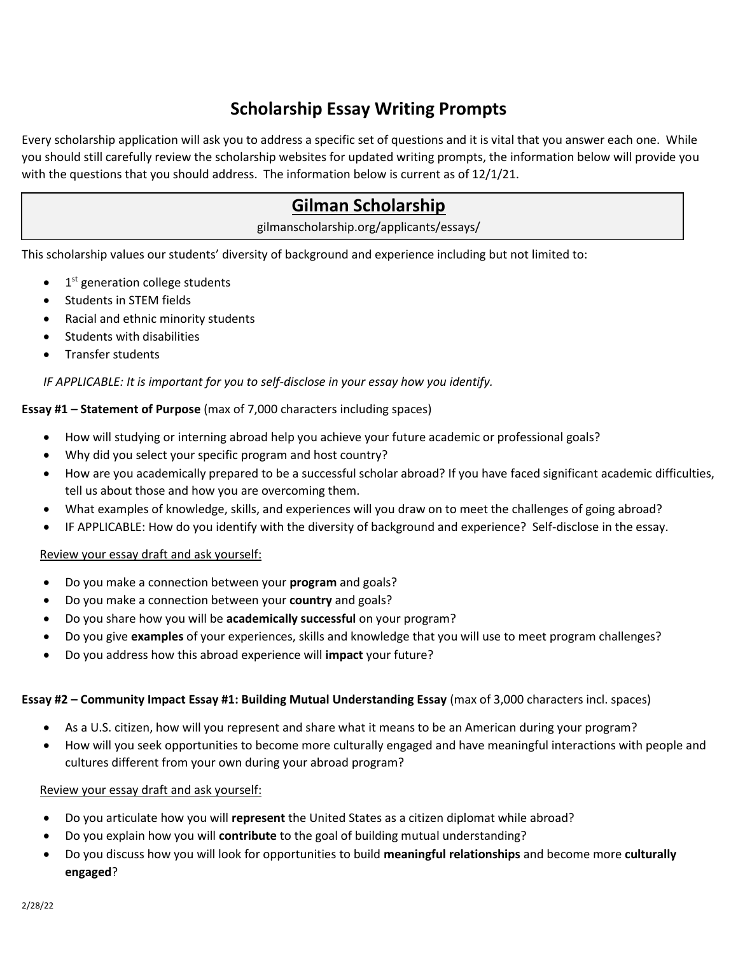# **Scholarship Essay Writing Prompts**

Every scholarship application will ask you to address a specific set of questions and it is vital that you answer each one. While you should still carefully review the scholarship websites for updated writing prompts, the information below will provide you with the questions that you should address. The information below is current as of 12/1/21.

# **Gilman Scholarship**

gilmanscholarship.org/applicants/essays/

This scholarship values our students' diversity of background and experience including but not limited to:

- $\bullet$  1<sup>st</sup> generation college students
- Students in STEM fields
- Racial and ethnic minority students
- **•** Students with disabilities
- Transfer students

## *IF APPLICABLE: It is important for you to self-disclose in your essay how you identify.*

## **Essay #1 – Statement of Purpose** (max of 7,000 characters including spaces)

- How will studying or interning abroad help you achieve your future academic or professional goals?
- Why did you select your specific program and host country?
- How are you academically prepared to be a successful scholar abroad? If you have faced significant academic difficulties, tell us about those and how you are overcoming them.
- What examples of knowledge, skills, and experiences will you draw on to meet the challenges of going abroad?
- IF APPLICABLE: How do you identify with the diversity of background and experience? Self-disclose in the essay.

## Review your essay draft and ask yourself:

- Do you make a connection between your **program** and goals?
- Do you make a connection between your **country** and goals?
- Do you share how you will be **academically successful** on your program?
- Do you give **examples** of your experiences, skills and knowledge that you will use to meet program challenges?
- Do you address how this abroad experience will **impact** your future?

## **Essay #2 – Community Impact Essay #1: Building Mutual Understanding Essay** (max of 3,000 characters incl. spaces)

- As a U.S. citizen, how will you represent and share what it means to be an American during your program?
- How will you seek opportunities to become more culturally engaged and have meaningful interactions with people and cultures different from your own during your abroad program?

## Review your essay draft and ask yourself:

- Do you articulate how you will **represent** the United States as a citizen diplomat while abroad?
- Do you explain how you will **contribute** to the goal of building mutual understanding?
- Do you discuss how you will look for opportunities to build **meaningful relationships** and become more **culturally engaged**?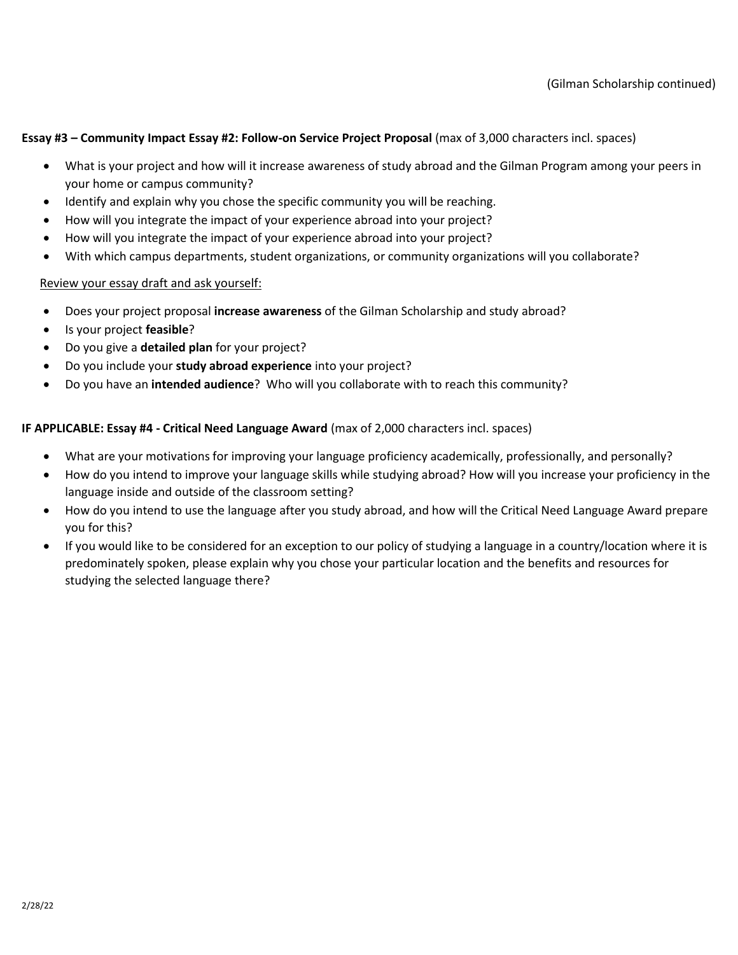### **Essay #3 – Community Impact Essay #2: Follow-on Service Project Proposal** (max of 3,000 characters incl. spaces)

- What is your project and how will it increase awareness of study abroad and the Gilman Program among your peers in your home or campus community?
- Identify and explain why you chose the specific community you will be reaching.
- How will you integrate the impact of your experience abroad into your project?
- How will you integrate the impact of your experience abroad into your project?
- With which campus departments, student organizations, or community organizations will you collaborate?

## Review your essay draft and ask yourself:

- Does your project proposal **increase awareness** of the Gilman Scholarship and study abroad?
- Is your project **feasible**?
- Do you give a **detailed plan** for your project?
- Do you include your **study abroad experience** into your project?
- Do you have an **intended audience**? Who will you collaborate with to reach this community?

## **IF APPLICABLE: Essay #4 - Critical Need Language Award** (max of 2,000 characters incl. spaces)

- What are your motivations for improving your language proficiency academically, professionally, and personally?
- How do you intend to improve your language skills while studying abroad? How will you increase your proficiency in the language inside and outside of the classroom setting?
- How do you intend to use the language after you study abroad, and how will the Critical Need Language Award prepare you for this?
- If you would like to be considered for an exception to our policy of studying a language in a country/location where it is predominately spoken, please explain why you chose your particular location and the benefits and resources for studying the selected language there?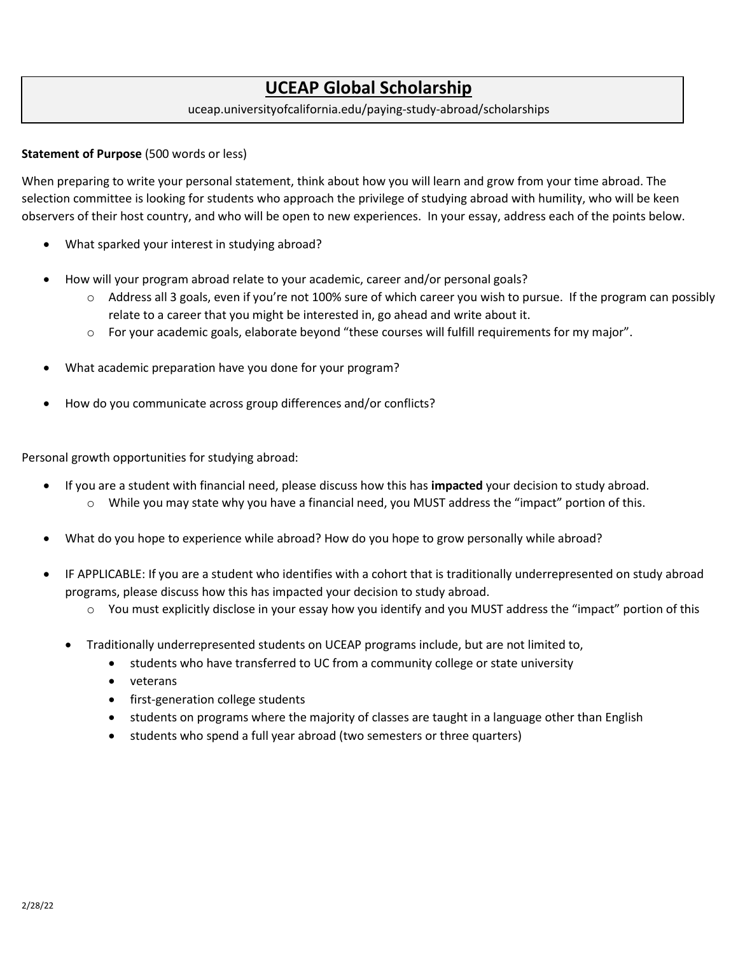# **UCEAP Global Scholarship**

## uceap.universityofcalifornia.edu/paying-study-abroad/scholarships

### **Statement of Purpose** (500 words or less)

When preparing to write your personal statement, think about how you will learn and grow from your time abroad. The selection committee is looking for students who approach the privilege of studying abroad with humility, who will be keen observers of their host country, and who will be open to new experiences. In your essay, address each of the points below.

- What sparked your interest in studying abroad?
- How will your program abroad relate to your academic, career and/or personal goals?
	- $\circ$  Address all 3 goals, even if you're not 100% sure of which career you wish to pursue. If the program can possibly relate to a career that you might be interested in, go ahead and write about it.
	- o For your academic goals, elaborate beyond "these courses will fulfill requirements for my major".
- What academic preparation have you done for your program?
- How do you communicate across group differences and/or conflicts?

Personal growth opportunities for studying abroad:

- If you are a student with financial need, please discuss how this has **impacted** your decision to study abroad. o While you may state why you have a financial need, you MUST address the "impact" portion of this.
- What do you hope to experience while abroad? How do you hope to grow personally while abroad?
- IF APPLICABLE: If you are a student who identifies with a cohort that is traditionally underrepresented on study abroad programs, please discuss how this has impacted your decision to study abroad.
	- o You must explicitly disclose in your essay how you identify and you MUST address the "impact" portion of this
	- Traditionally underrepresented students on UCEAP programs include, but are not limited to,
		- students who have transferred to UC from a community college or state university
		- veterans
		- first-generation college students
		- students on programs where the majority of classes are taught in a language other than English
		- students who spend a full year abroad (two semesters or three quarters)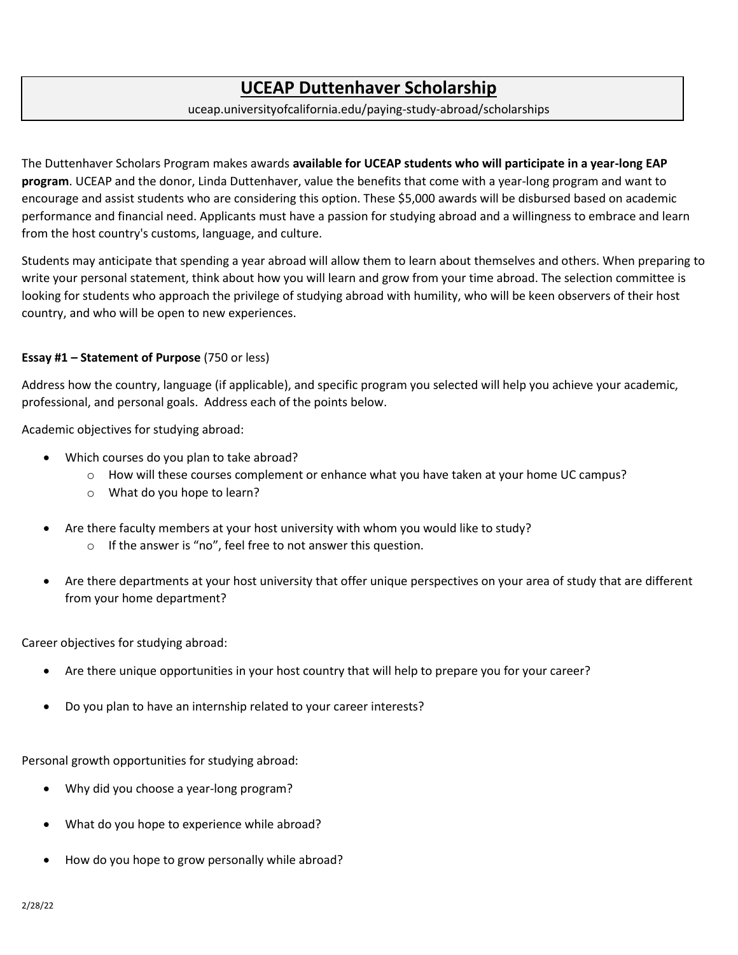# **UCEAP Duttenhaver Scholarship**

### uceap.universityofcalifornia.edu/paying-study-abroad/scholarships

The Duttenhaver Scholars Program makes awards **available for UCEAP students who will participate in a year-long EAP program**. UCEAP and the donor, Linda Duttenhaver, value the benefits that come with a year-long program and want to encourage and assist students who are considering this option. These \$5,000 awards will be disbursed based on academic performance and financial need. Applicants must have a passion for studying abroad and a willingness to embrace and learn from the host country's customs, language, and culture.

Students may anticipate that spending a year abroad will allow them to learn about themselves and others. When preparing to write your personal statement, think about how you will learn and grow from your time abroad. The selection committee is looking for students who approach the privilege of studying abroad with humility, who will be keen observers of their host country, and who will be open to new experiences.

### **Essay #1 – Statement of Purpose** (750 or less)

Address how the country, language (if applicable), and specific program you selected will help you achieve your academic, professional, and personal goals. Address each of the points below.

Academic objectives for studying abroad:

- Which courses do you plan to take abroad?
	- o How will these courses complement or enhance what you have taken at your home UC campus?
	- o What do you hope to learn?
- Are there faculty members at your host university with whom you would like to study?
	- o If the answer is "no", feel free to not answer this question.
- Are there departments at your host university that offer unique perspectives on your area of study that are different from your home department?

Career objectives for studying abroad:

- Are there unique opportunities in your host country that will help to prepare you for your career?
- Do you plan to have an internship related to your career interests?

Personal growth opportunities for studying abroad:

- Why did you choose a year-long program?
- What do you hope to experience while abroad?
- How do you hope to grow personally while abroad?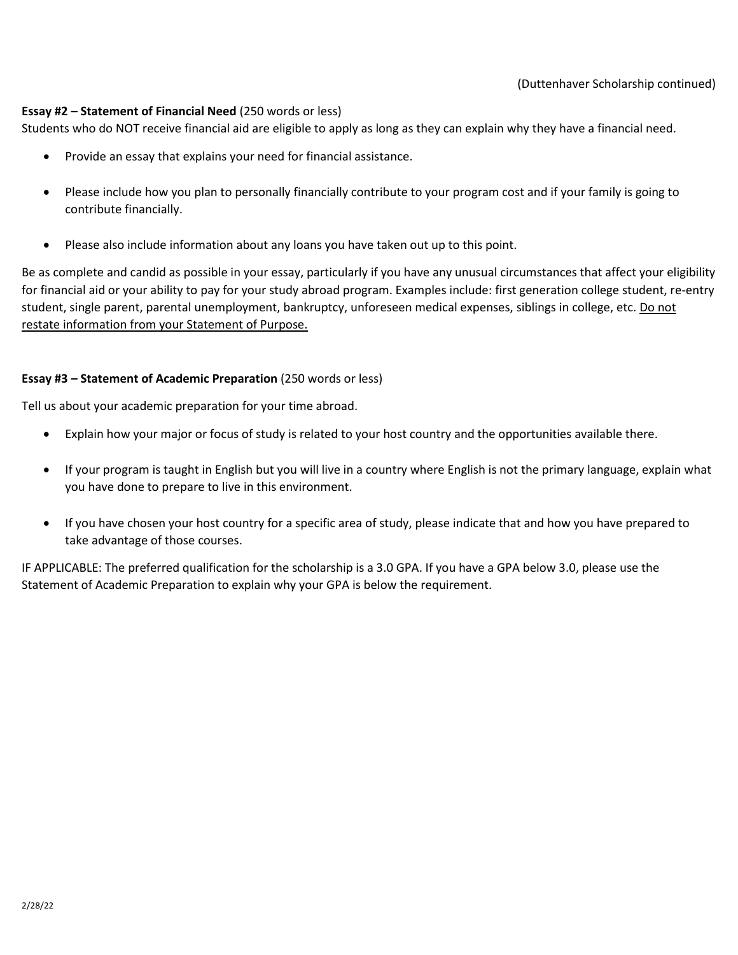# **Essay #2 – Statement of Financial Need** (250 words or less)

Students who do NOT receive financial aid are eligible to apply as long as they can explain why they have a financial need.

- Provide an essay that explains your need for financial assistance.
- Please include how you plan to personally financially contribute to your program cost and if your family is going to contribute financially.
- Please also include information about any loans you have taken out up to this point.

Be as complete and candid as possible in your essay, particularly if you have any unusual circumstances that affect your eligibility for financial aid or your ability to pay for your study abroad program. Examples include: first generation college student, re-entry student, single parent, parental unemployment, bankruptcy, unforeseen medical expenses, siblings in college, etc. Do not restate information from your Statement of Purpose.

# **Essay #3 – Statement of Academic Preparation** (250 words or less)

Tell us about your academic preparation for your time abroad.

- Explain how your major or focus of study is related to your host country and the opportunities available there.
- If your program is taught in English but you will live in a country where English is not the primary language, explain what you have done to prepare to live in this environment.
- If you have chosen your host country for a specific area of study, please indicate that and how you have prepared to take advantage of those courses.

IF APPLICABLE: The preferred qualification for the scholarship is a 3.0 GPA. If you have a GPA below 3.0, please use the Statement of Academic Preparation to explain why your GPA is below the requirement.